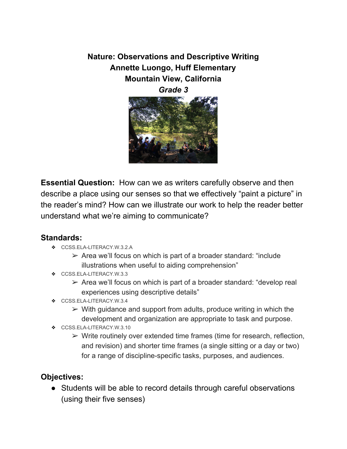**Nature: Observations and Descriptive Writing Annette Luongo, Huff Elementary Mountain View, California** *Grade 3*



**Essential Question:** How can we as writers carefully observe and then describe a place using our senses so that we effectively "paint a picture" in the reader's mind? How can we illustrate our work to help the reader better understand what we're aiming to communicate?

#### **Standards:**

- ❖ [CCSS.ELA-LITERACY.W.3.2.A](http://www.corestandards.org/ELA-Literacy/W/3/2/a/)
	- $\triangleright$  Area we'll focus on which is part of a broader standard: "include illustrations when useful to aiding comprehension"
- ❖ [CCSS.ELA-LITERACY.W.3.3](http://www.corestandards.org/ELA-Literacy/W/3/3/)
	- $\triangleright$  Area we'll focus on which is part of a broader standard: "develop real experiences using descriptive details"
- ❖ [CCSS.ELA-LITERACY.W.3.4](http://www.corestandards.org/ELA-Literacy/W/3/4/)
	- $\triangleright$  With guidance and support from adults, produce writing in which the development and organization are appropriate to task and purpose.
- ❖ [CCSS.ELA-LITERACY.W.3.10](http://www.corestandards.org/ELA-Literacy/W/3/10/)
	- $\triangleright$  Write routinely over extended time frames (time for research, reflection, and revision) and shorter time frames (a single sitting or a day or two) for a range of discipline-specific tasks, purposes, and audiences.

#### **Objectives:**

● Students will be able to record details through careful observations (using their five senses)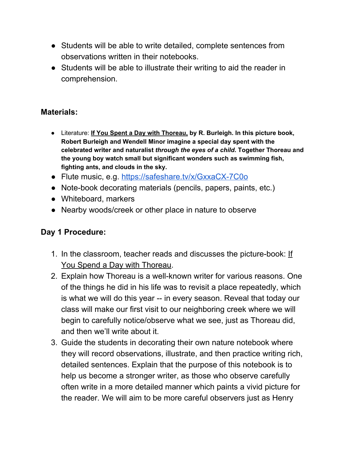- Students will be able to write detailed, complete sentences from observations written in their notebooks.
- Students will be able to illustrate their writing to aid the reader in comprehension.

#### **Materials:**

- Literature: **If You Spent a Day with Thoreau, by R. Burleigh. In this picture book, Robert Burleigh and Wendell Minor imagine a special day spent with the celebrated writer and naturalist** *through the eyes of a child***. Together Thoreau and the young boy watch small but significant wonders such as swimming fish, fighting ants, and clouds in the sky.**
- Flute music, e.g. <https://safeshare.tv/x/GxxaCX-7C0o>
- Note-book decorating materials (pencils, papers, paints, etc.)
- Whiteboard, markers
- Nearby woods/creek or other place in nature to observe

# **Day 1 Procedure:**

- 1. In the classroom, teacher reads and discusses the picture-book: If You Spend a Day with Thoreau.
- 2. Explain how Thoreau is a well-known writer for various reasons. One of the things he did in his life was to revisit a place repeatedly, which is what we will do this year -- in every season. Reveal that today our class will make our first visit to our neighboring creek where we will begin to carefully notice/observe what we see, just as Thoreau did, and then we'll write about it.
- 3. Guide the students in decorating their own nature notebook where they will record observations, illustrate, and then practice writing rich, detailed sentences. Explain that the purpose of this notebook is to help us become a stronger writer, as those who observe carefully often write in a more detailed manner which paints a vivid picture for the reader. We will aim to be more careful observers just as Henry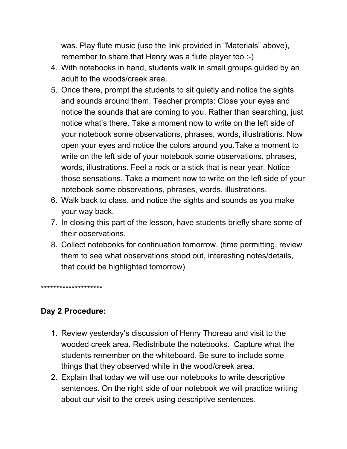was. Play flute music (use the link provided in "Materials" above), remember to share that Henry was a flute player too :-)

- 4. With notebooks in hand, students walk in small groups guided by an adult to the woods/creek area.
- 5. Once there, prompt the students to sit quietly and notice the sights and sounds around them. Teacher prompts: Close your eyes and notice the sounds that are coming to you. Rather than searching, just notice what's there. Take a moment now to write on the left side of your notebook some observations, phrases, words, illustrations. Now open your eyes and notice the colors around you.Take a moment to write on the left side of your notebook some observations, phrases, words, illustrations. Feel a rock or a stick that is near year. Notice those sensations. Take a moment now to write on the left side of your notebook some observations, phrases, words, illustrations.
- 6. Walk back to class, and notice the sights and sounds as you make your way back.
- 7. In closing this part of the lesson, have students briefly share some of their observations.
- 8. Collect notebooks for continuation tomorrow. (time permitting, review them to see what observations stood out, interesting notes/details, that could be highlighted tomorrow)

\*\*\*\*\*\*\*\*\*\*\*\*\*\*\*\*\*\*\*\*

# **Day 2 Procedure:**

- 1. Review yesterday's discussion of Henry Thoreau and visit to the wooded creek area. Redistribute the notebooks. Capture what the students remember on the whiteboard. Be sure to include some things that they observed while in the wood/creek area.
- 2. Explain that today we will use our notebooks to write descriptive sentences. On the right side of our notebook we will practice writing about our visit to the creek using descriptive sentences.